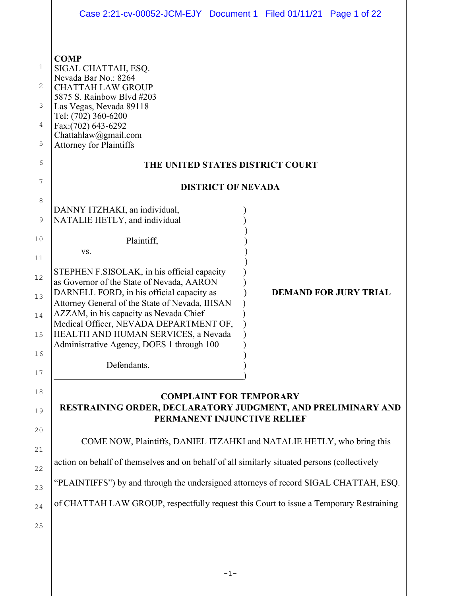|                                 | Case 2:21-cv-00052-JCM-EJY Document 1 Filed 01/11/21 Page 1 of 22                                                                                                                                                                                                                                                  |                           |  |                              |  |  |
|---------------------------------|--------------------------------------------------------------------------------------------------------------------------------------------------------------------------------------------------------------------------------------------------------------------------------------------------------------------|---------------------------|--|------------------------------|--|--|
| 1<br>2<br>3<br>4<br>5<br>6<br>7 | <b>COMP</b><br>SIGAL CHATTAH, ESQ.<br>Nevada Bar No.: 8264<br><b>CHATTAH LAW GROUP</b><br>5875 S. Rainbow Blvd #203<br>Las Vegas, Nevada 89118<br>Tel: (702) 360-6200<br>Fax:(702) 643-6292<br>Chattahlaw@gmail.com<br><b>Attorney for Plaintiffs</b><br>THE UNITED STATES DISTRICT COURT                          | <b>DISTRICT OF NEVADA</b> |  |                              |  |  |
| 8                               |                                                                                                                                                                                                                                                                                                                    |                           |  |                              |  |  |
| 9                               | DANNY ITZHAKI, an individual,<br>NATALIE HETLY, and individual                                                                                                                                                                                                                                                     |                           |  |                              |  |  |
| 10                              | Plaintiff,                                                                                                                                                                                                                                                                                                         |                           |  |                              |  |  |
| 11                              | VS.                                                                                                                                                                                                                                                                                                                |                           |  |                              |  |  |
| 12<br>13<br>14<br>15            | STEPHEN F.SISOLAK, in his official capacity<br>as Governor of the State of Nevada, AARON<br>DARNELL FORD, in his official capacity as<br>Attorney General of the State of Nevada, IHSAN<br>AZZAM, in his capacity as Nevada Chief<br>Medical Officer, NEVADA DEPARTMENT OF,<br>HEALTH AND HUMAN SERVICES, a Nevada |                           |  | <b>DEMAND FOR JURY TRIAL</b> |  |  |
| 16                              | Administrative Agency, DOES 1 through 100                                                                                                                                                                                                                                                                          |                           |  |                              |  |  |
| 17                              | Defendants.                                                                                                                                                                                                                                                                                                        |                           |  |                              |  |  |
| 18<br>19<br>20                  | <b>COMPLAINT FOR TEMPORARY</b><br>RESTRAINING ORDER, DECLARATORY JUDGMENT, AND PRELIMINARY AND<br>PERMANENT INJUNCTIVE RELIEF                                                                                                                                                                                      |                           |  |                              |  |  |
| 21                              | COME NOW, Plaintiffs, DANIEL ITZAHKI and NATALIE HETLY, who bring this                                                                                                                                                                                                                                             |                           |  |                              |  |  |
| 22                              | action on behalf of themselves and on behalf of all similarly situated persons (collectively                                                                                                                                                                                                                       |                           |  |                              |  |  |
| 23                              | "PLAINTIFFS") by and through the undersigned attorneys of record SIGAL CHATTAH, ESQ.                                                                                                                                                                                                                               |                           |  |                              |  |  |
| 24                              | of CHATTAH LAW GROUP, respectfully request this Court to issue a Temporary Restraining                                                                                                                                                                                                                             |                           |  |                              |  |  |
| 25                              |                                                                                                                                                                                                                                                                                                                    |                           |  |                              |  |  |
|                                 |                                                                                                                                                                                                                                                                                                                    |                           |  |                              |  |  |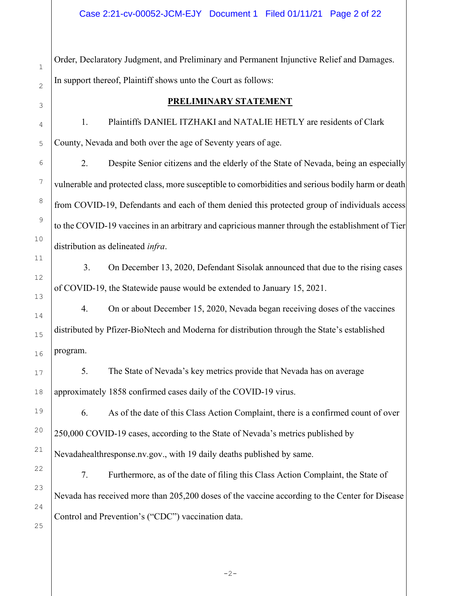Order, Declaratory Judgment, and Preliminary and Permanent Injunctive Relief and Damages. In support thereof, Plaintiff shows unto the Court as follows:

## PRELIMINARY STATEMENT

1. Plaintiffs DANIEL ITZHAKI and NATALIE HETLY are residents of Clark County, Nevada and both over the age of Seventy years of age.

2. Despite Senior citizens and the elderly of the State of Nevada, being an especially vulnerable and protected class, more susceptible to comorbidities and serious bodily harm or death from COVID-19, Defendants and each of them denied this protected group of individuals access to the COVID-19 vaccines in an arbitrary and capricious manner through the establishment of Tier distribution as delineated *infra*.

 3. On December 13, 2020, Defendant Sisolak announced that due to the rising cases of COVID-19, the Statewide pause would be extended to January 15, 2021.

4. On or about December 15, 2020, Nevada began receiving doses of the vaccines distributed by Pfizer-BioNtech and Moderna for distribution through the State's established program.

5. The State of Nevada's key metrics provide that Nevada has on average approximately 1858 confirmed cases daily of the COVID-19 virus.

6. As of the date of this Class Action Complaint, there is a confirmed count of over 250,000 COVID-19 cases, according to the State of Nevada's metrics published by Nevadahealthresponse.nv.gov., with 19 daily deaths published by same.

7. Furthermore, as of the date of filing this Class Action Complaint, the State of Nevada has received more than 205,200 doses of the vaccine according to the Center for Disease Control and Prevention's ("CDC") vaccination data.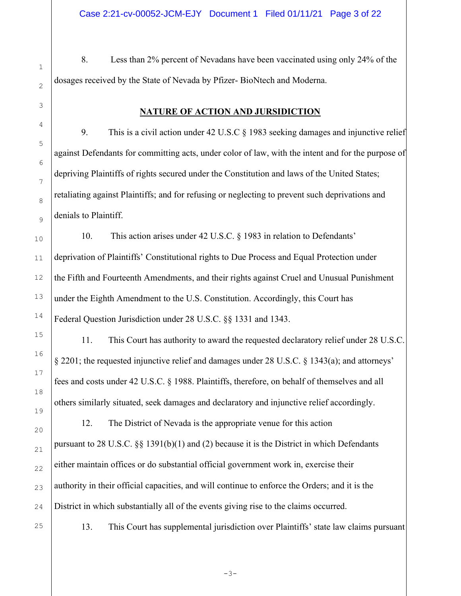8. Less than 2% percent of Nevadans have been vaccinated using only 24% of the dosages received by the State of Nevada by Pfizer- BioNtech and Moderna.

## NATURE OF ACTION AND JURSIDICTION

9. This is a civil action under 42 U.S.C § 1983 seeking damages and injunctive relief against Defendants for committing acts, under color of law, with the intent and for the purpose of depriving Plaintiffs of rights secured under the Constitution and laws of the United States; retaliating against Plaintiffs; and for refusing or neglecting to prevent such deprivations and denials to Plaintiff.

 10. This action arises under 42 U.S.C. § 1983 in relation to Defendants' deprivation of Plaintiffs' Constitutional rights to Due Process and Equal Protection under the Fifth and Fourteenth Amendments, and their rights against Cruel and Unusual Punishment under the Eighth Amendment to the U.S. Constitution. Accordingly, this Court has Federal Question Jurisdiction under 28 U.S.C. §§ 1331 and 1343.

 11. This Court has authority to award the requested declaratory relief under 28 U.S.C. § 2201; the requested injunctive relief and damages under 28 U.S.C. § 1343(a); and attorneys' fees and costs under 42 U.S.C. § 1988. Plaintiffs, therefore, on behalf of themselves and all others similarly situated, seek damages and declaratory and injunctive relief accordingly.

 12. The District of Nevada is the appropriate venue for this action pursuant to 28 U.S.C. §§ 1391(b)(1) and (2) because it is the District in which Defendants either maintain offices or do substantial official government work in, exercise their authority in their official capacities, and will continue to enforce the Orders; and it is the District in which substantially all of the events giving rise to the claims occurred.

25

1

2

3

4

5

6

7

8

9

10

11

12

13

14

15

16

17

18

19

20

21

22

23

24

13. This Court has supplemental jurisdiction over Plaintiffs' state law claims pursuant

-3-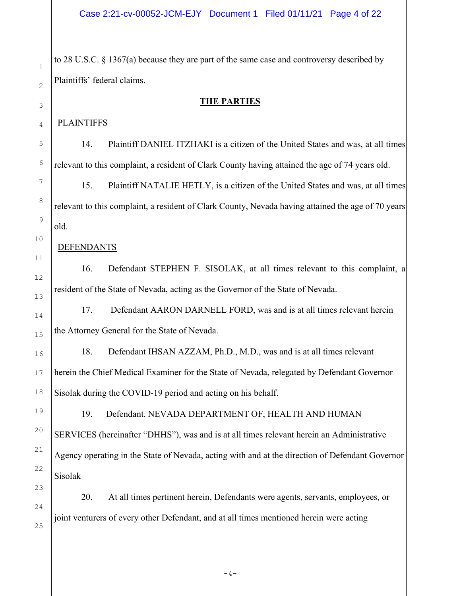to 28 U.S.C. § 1367(a) because they are part of the same case and controversy described by Plaintiffs' federal claims.

#### THE PARTIES

#### **PLAINTIFFS**

 14. Plaintiff DANIEL ITZHAKI is a citizen of the United States and was, at all times relevant to this complaint, a resident of Clark County having attained the age of 74 years old.

 15. Plaintiff NATALIE HETLY, is a citizen of the United States and was, at all times relevant to this complaint, a resident of Clark County, Nevada having attained the age of 70 years old.

#### DEFENDANTS

 16. Defendant STEPHEN F. SISOLAK, at all times relevant to this complaint, a resident of the State of Nevada, acting as the Governor of the State of Nevada.

 17. Defendant AARON DARNELL FORD, was and is at all times relevant herein the Attorney General for the State of Nevada.

 18. Defendant IHSAN AZZAM, Ph.D., M.D., was and is at all times relevant herein the Chief Medical Examiner for the State of Nevada, relegated by Defendant Governor Sisolak during the COVID-19 period and acting on his behalf.

 19. Defendant. NEVADA DEPARTMENT OF, HEALTH AND HUMAN SERVICES (hereinafter "DHHS"), was and is at all times relevant herein an Administrative Agency operating in the State of Nevada, acting with and at the direction of Defendant Governor Sisolak

 20. At all times pertinent herein, Defendants were agents, servants, employees, or joint venturers of every other Defendant, and at all times mentioned herein were acting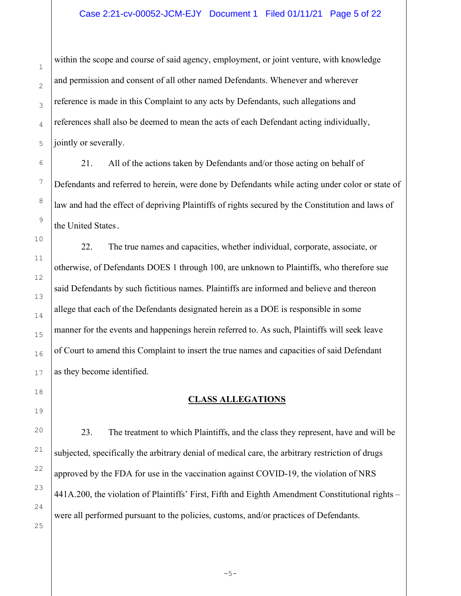#### Case 2:21-cv-00052-JCM-EJY Document 1 Filed 01/11/21 Page 5 of 22

within the scope and course of said agency, employment, or joint venture, with knowledge and permission and consent of all other named Defendants. Whenever and wherever reference is made in this Complaint to any acts by Defendants, such allegations and references shall also be deemed to mean the acts of each Defendant acting individually, jointly or severally.

 21. All of the actions taken by Defendants and/or those acting on behalf of Defendants and referred to herein, were done by Defendants while acting under color or state of law and had the effect of depriving Plaintiffs of rights secured by the Constitution and laws of the United States.

 22. The true names and capacities, whether individual, corporate, associate, or otherwise, of Defendants DOES 1 through 100, are unknown to Plaintiffs, who therefore sue said Defendants by such fictitious names. Plaintiffs are informed and believe and thereon allege that each of the Defendants designated herein as a DOE is responsible in some manner for the events and happenings herein referred to. As such, Plaintiffs will seek leave of Court to amend this Complaint to insert the true names and capacities of said Defendant as they become identified.

## CLASS ALLEGATIONS

23. The treatment to which Plaintiffs, and the class they represent, have and will be subjected, specifically the arbitrary denial of medical care, the arbitrary restriction of drugs approved by the FDA for use in the vaccination against COVID-19, the violation of NRS 441A.200, the violation of Plaintiffs' First, Fifth and Eighth Amendment Constitutional rights – were all performed pursuant to the policies, customs, and/or practices of Defendants.

-5-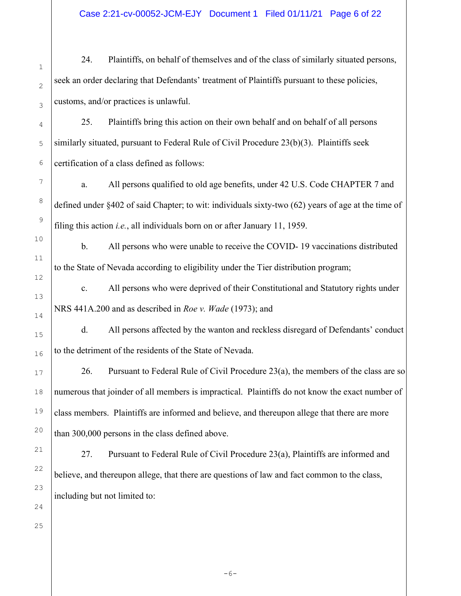## Case 2:21-cv-00052-JCM-EJY Document 1 Filed 01/11/21 Page 6 of 22

24. Plaintiffs, on behalf of themselves and of the class of similarly situated persons, seek an order declaring that Defendants' treatment of Plaintiffs pursuant to these policies, customs, and/or practices is unlawful.

25. Plaintiffs bring this action on their own behalf and on behalf of all persons similarly situated, pursuant to Federal Rule of Civil Procedure 23(b)(3). Plaintiffs seek certification of a class defined as follows:

a. All persons qualified to old age benefits, under 42 U.S. Code CHAPTER 7 and defined under §402 of said Chapter; to wit: individuals sixty-two (62) years of age at the time of filing this action *i.e.*, all individuals born on or after January 11, 1959.

b. All persons who were unable to receive the COVID- 19 vaccinations distributed to the State of Nevada according to eligibility under the Tier distribution program;

c. All persons who were deprived of their Constitutional and Statutory rights under NRS 441A.200 and as described in Roe v. Wade (1973); and

d. All persons affected by the wanton and reckless disregard of Defendants' conduct to the detriment of the residents of the State of Nevada.

26. Pursuant to Federal Rule of Civil Procedure 23(a), the members of the class are so numerous that joinder of all members is impractical. Plaintiffs do not know the exact number of class members. Plaintiffs are informed and believe, and thereupon allege that there are more than 300,000 persons in the class defined above.

27. Pursuant to Federal Rule of Civil Procedure 23(a), Plaintiffs are informed and believe, and thereupon allege, that there are questions of law and fact common to the class, including but not limited to: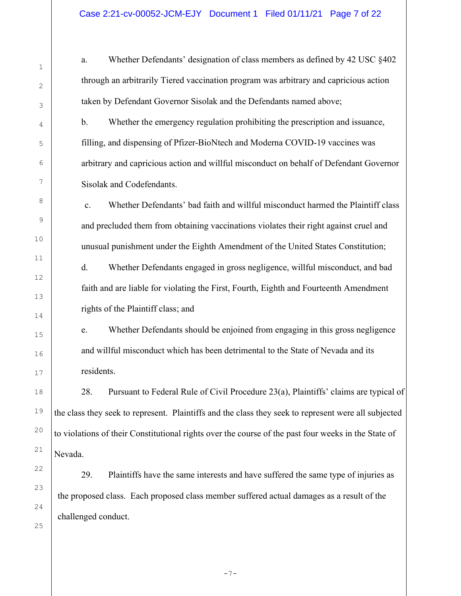a. Whether Defendants' designation of class members as defined by 42 USC §402 through an arbitrarily Tiered vaccination program was arbitrary and capricious action taken by Defendant Governor Sisolak and the Defendants named above;

b. Whether the emergency regulation prohibiting the prescription and issuance, filling, and dispensing of Pfizer-BioNtech and Moderna COVID-19 vaccines was arbitrary and capricious action and willful misconduct on behalf of Defendant Governor Sisolak and Codefendants.

c. Whether Defendants' bad faith and willful misconduct harmed the Plaintiff class and precluded them from obtaining vaccinations violates their right against cruel and unusual punishment under the Eighth Amendment of the United States Constitution;

d. Whether Defendants engaged in gross negligence, willful misconduct, and bad faith and are liable for violating the First, Fourth, Eighth and Fourteenth Amendment rights of the Plaintiff class; and

e. Whether Defendants should be enjoined from engaging in this gross negligence and willful misconduct which has been detrimental to the State of Nevada and its residents.

28. Pursuant to Federal Rule of Civil Procedure 23(a), Plaintiffs' claims are typical of the class they seek to represent. Plaintiffs and the class they seek to represent were all subjected to violations of their Constitutional rights over the course of the past four weeks in the State of Nevada.

29. Plaintiffs have the same interests and have suffered the same type of injuries as the proposed class. Each proposed class member suffered actual damages as a result of the challenged conduct.

23 24

25

1

2

3

4

5

6

7

8

9

10

11

12

13

14

15

16

17

18

19

20

21

22

 $-7-$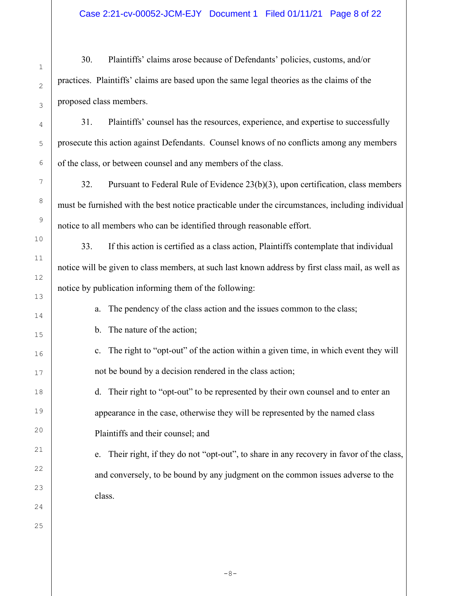30. Plaintiffs' claims arose because of Defendants' policies, customs, and/or practices. Plaintiffs' claims are based upon the same legal theories as the claims of the proposed class members.

31. Plaintiffs' counsel has the resources, experience, and expertise to successfully prosecute this action against Defendants. Counsel knows of no conflicts among any members of the class, or between counsel and any members of the class.

32. Pursuant to Federal Rule of Evidence 23(b)(3), upon certification, class members must be furnished with the best notice practicable under the circumstances, including individual notice to all members who can be identified through reasonable effort.

33. If this action is certified as a class action, Plaintiffs contemplate that individual notice will be given to class members, at such last known address by first class mail, as well as notice by publication informing them of the following:

a. The pendency of the class action and the issues common to the class;

b. The nature of the action;

c. The right to "opt-out" of the action within a given time, in which event they will not be bound by a decision rendered in the class action;

d. Their right to "opt-out" to be represented by their own counsel and to enter an appearance in the case, otherwise they will be represented by the named class Plaintiffs and their counsel; and

e. Their right, if they do not "opt-out", to share in any recovery in favor of the class, and conversely, to be bound by any judgment on the common issues adverse to the class.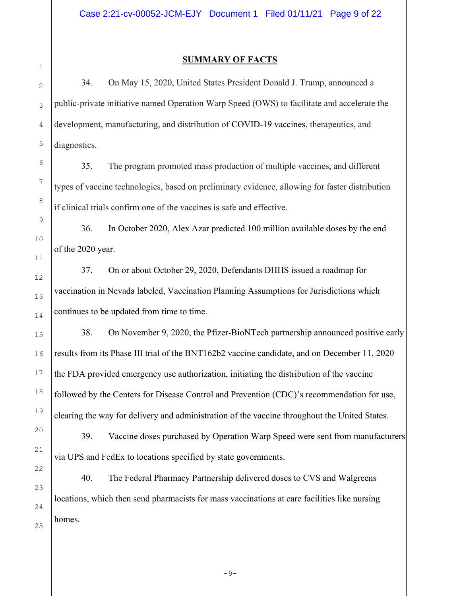1 2

3

## SUMMARY OF FACTS

34. On May 15, 2020, United States President Donald J. Trump, announced a public-private initiative named Operation Warp Speed (OWS) to facilitate and accelerate the development, manufacturing, and distribution of COVID-19 vaccines, therapeutics, and diagnostics.

35. The program promoted mass production of multiple vaccines, and different types of vaccine technologies, based on preliminary evidence, allowing for faster distribution if clinical trials confirm one of the vaccines is safe and effective.

36. In October 2020, Alex Azar predicted 100 million available doses by the end of the 2020 year.

37. On or about October 29, 2020, Defendants DHHS issued a roadmap for vaccination in Nevada labeled, Vaccination Planning Assumptions for Jurisdictions which continues to be updated from time to time.

38. On November 9, 2020, the Pfizer-BioNTech partnership announced positive early results from its Phase III trial of the BNT162b2 vaccine candidate, and on December 11, 2020 the FDA provided emergency use authorization, initiating the distribution of the vaccine followed by the Centers for Disease Control and Prevention (CDC)'s recommendation for use, clearing the way for delivery and administration of the vaccine throughout the United States.

39. Vaccine doses purchased by Operation Warp Speed were sent from manufacturers via UPS and FedEx to locations specified by state governments.

40. The Federal Pharmacy Partnership delivered doses to CVS and Walgreens locations, which then send pharmacists for mass vaccinations at care facilities like nursing homes.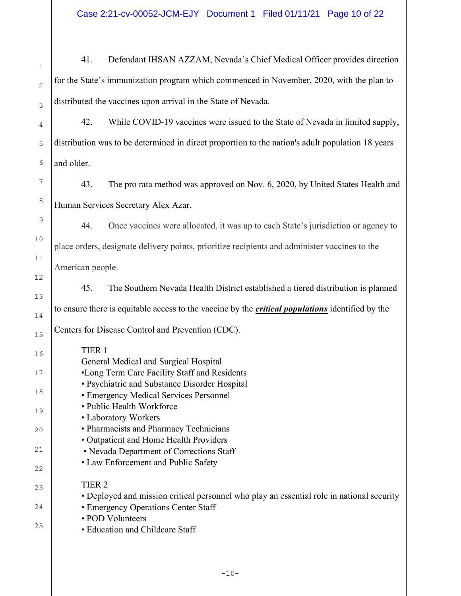1 2 3 4 5 6 7 8 9 10 11 12 13 14 15 16 17 18 19 20 21 22 23 24 25 41. Defendant IHSAN AZZAM, Nevada's Chief Medical Officer provides direction for the State's immunization program which commenced in November, 2020, with the plan to distributed the vaccines upon arrival in the State of Nevada. 42. While COVID-19 vaccines were issued to the State of Nevada in limited supply, distribution was to be determined in direct proportion to the nation's adult population 18 years and older. 43. The pro rata method was approved on Nov. 6, 2020, by United States Health and Human Services Secretary Alex Azar. 44. Once vaccines were allocated, it was up to each State's jurisdiction or agency to place orders, designate delivery points, prioritize recipients and administer vaccines to the American people. 45. The Southern Nevada Health District established a tiered distribution is planned to ensure there is equitable access to the vaccine by the *critical populations* identified by the Centers for Disease Control and Prevention (CDC). TIER 1 General Medical and Surgical Hospital •Long Term Care Facility Staff and Residents • Psychiatric and Substance Disorder Hospital • Emergency Medical Services Personnel • Public Health Workforce • Laboratory Workers • Pharmacists and Pharmacy Technicians • Outpatient and Home Health Providers • Nevada Department of Corrections Staff • Law Enforcement and Public Safety TIER 2 • Deployed and mission critical personnel who play an essential role in national security • Emergency Operations Center Staff • POD Volunteers • Education and Childcare Staff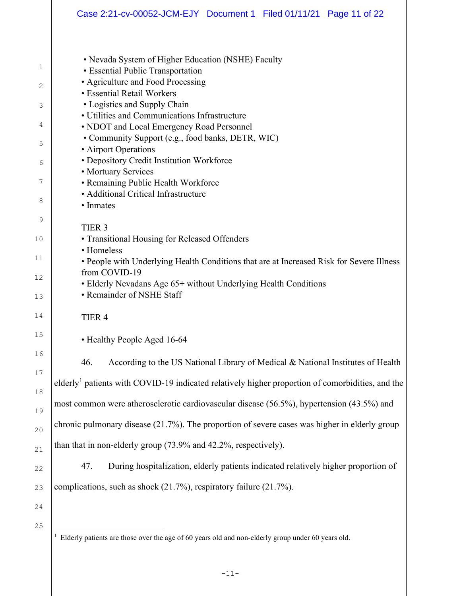|                                                    | Case 2:21-cv-00052-JCM-EJY Document 1 Filed 01/11/21 Page 11 of 22                                                                                                                                                                                                                                                                                                                                                                                                                                                                                                                                                                                 |  |  |  |  |  |
|----------------------------------------------------|----------------------------------------------------------------------------------------------------------------------------------------------------------------------------------------------------------------------------------------------------------------------------------------------------------------------------------------------------------------------------------------------------------------------------------------------------------------------------------------------------------------------------------------------------------------------------------------------------------------------------------------------------|--|--|--|--|--|
| 1<br>2<br>3<br>4<br>5<br>6<br>7<br>8               | • Nevada System of Higher Education (NSHE) Faculty<br>• Essential Public Transportation<br>• Agriculture and Food Processing<br>• Essential Retail Workers<br>• Logistics and Supply Chain<br>• Utilities and Communications Infrastructure<br>• NDOT and Local Emergency Road Personnel<br>• Community Support (e.g., food banks, DETR, WIC)<br>• Airport Operations<br>· Depository Credit Institution Workforce<br>• Mortuary Services<br>• Remaining Public Health Workforce<br>• Additional Critical Infrastructure<br>• Inmates                                                                                                              |  |  |  |  |  |
| 9<br>10<br>11<br>12<br>13<br>14                    | TIER <sub>3</sub><br>• Transitional Housing for Released Offenders<br>• Homeless<br>• People with Underlying Health Conditions that are at Increased Risk for Severe Illness<br>from COVID-19<br>• Elderly Nevadans Age 65+ without Underlying Health Conditions<br>• Remainder of NSHE Staff<br>TIER <sub>4</sub>                                                                                                                                                                                                                                                                                                                                 |  |  |  |  |  |
| 15                                                 | • Healthy People Aged 16-64                                                                                                                                                                                                                                                                                                                                                                                                                                                                                                                                                                                                                        |  |  |  |  |  |
| 16<br>17<br>18<br>19<br>20<br>21<br>22<br>23<br>24 | According to the US National Library of Medical & National Institutes of Health<br>46.<br>elderly <sup>1</sup> patients with COVID-19 indicated relatively higher proportion of comorbidities, and the<br>most common were atherosclerotic cardiovascular disease (56.5%), hypertension (43.5%) and<br>chronic pulmonary disease (21.7%). The proportion of severe cases was higher in elderly group<br>than that in non-elderly group (73.9% and 42.2%, respectively).<br>During hospitalization, elderly patients indicated relatively higher proportion of<br>47.<br>complications, such as shock $(21.7\%)$ , respiratory failure $(21.7\%)$ . |  |  |  |  |  |
| 25                                                 |                                                                                                                                                                                                                                                                                                                                                                                                                                                                                                                                                                                                                                                    |  |  |  |  |  |

<sup>&</sup>lt;sup>1</sup> Elderly patients are those over the age of 60 years old and non-elderly group under 60 years old.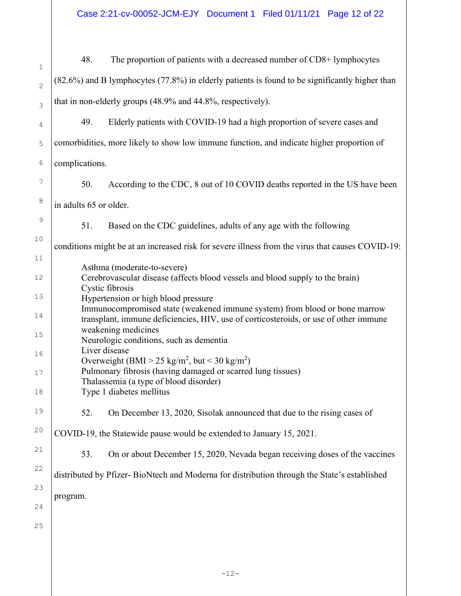Case 2:21-cv-00052-JCM-EJY Document 1 Filed 01/11/21 Page 12 of 22

| 1              | 48.                                                                                                                                                                | The proportion of patients with a decreased number of CD8+ lymphocytes                           |  |  |  |  |
|----------------|--------------------------------------------------------------------------------------------------------------------------------------------------------------------|--------------------------------------------------------------------------------------------------|--|--|--|--|
| $\overline{c}$ | (82.6%) and B lymphocytes (77.8%) in elderly patients is found to be significantly higher than                                                                     |                                                                                                  |  |  |  |  |
| 3              | that in non-elderly groups (48.9% and 44.8%, respectively).                                                                                                        |                                                                                                  |  |  |  |  |
| 4              | 49.                                                                                                                                                                | Elderly patients with COVID-19 had a high proportion of severe cases and                         |  |  |  |  |
| 5              | comorbidities, more likely to show low immune function, and indicate higher proportion of                                                                          |                                                                                                  |  |  |  |  |
| 6              | complications.                                                                                                                                                     |                                                                                                  |  |  |  |  |
| 7              | 50.                                                                                                                                                                | According to the CDC, 8 out of 10 COVID deaths reported in the US have been                      |  |  |  |  |
| 8              | in adults 65 or older.                                                                                                                                             |                                                                                                  |  |  |  |  |
| 9              | 51.                                                                                                                                                                | Based on the CDC guidelines, adults of any age with the following                                |  |  |  |  |
| 10             |                                                                                                                                                                    | conditions might be at an increased risk for severe illness from the virus that causes COVID-19: |  |  |  |  |
| 11             |                                                                                                                                                                    | Asthma (moderate-to-severe)                                                                      |  |  |  |  |
| 12             | Cerebrovascular disease (affects blood vessels and blood supply to the brain)<br>Cystic fibrosis                                                                   |                                                                                                  |  |  |  |  |
| 13             | Hypertension or high blood pressure                                                                                                                                |                                                                                                  |  |  |  |  |
| 14             | Immunocompromised state (weakened immune system) from blood or bone marrow<br>transplant, immune deficiencies, HIV, use of corticosteroids, or use of other immune |                                                                                                  |  |  |  |  |
| 15             | weakening medicines<br>Neurologic conditions, such as dementia                                                                                                     |                                                                                                  |  |  |  |  |
| 16             | Liver disease<br>Overweight (BMI > 25 kg/m <sup>2</sup> , but < 30 kg/m <sup>2</sup> )                                                                             |                                                                                                  |  |  |  |  |
| 17             | Pulmonary fibrosis (having damaged or scarred lung tissues)<br>Thalassemia (a type of blood disorder)                                                              |                                                                                                  |  |  |  |  |
| 18             | Type 1 diabetes mellitus                                                                                                                                           |                                                                                                  |  |  |  |  |
| 19             | 52.                                                                                                                                                                | On December 13, 2020, Sisolak announced that due to the rising cases of                          |  |  |  |  |
| 20             |                                                                                                                                                                    | COVID-19, the Statewide pause would be extended to January 15, 2021.                             |  |  |  |  |
| 21             | 53.                                                                                                                                                                | On or about December 15, 2020, Nevada began receiving doses of the vaccines                      |  |  |  |  |
| 22             |                                                                                                                                                                    | distributed by Pfizer-BioNtech and Moderna for distribution through the State's established      |  |  |  |  |
| 23             | program.                                                                                                                                                           |                                                                                                  |  |  |  |  |
| 24             |                                                                                                                                                                    |                                                                                                  |  |  |  |  |
| 25             |                                                                                                                                                                    |                                                                                                  |  |  |  |  |
|                |                                                                                                                                                                    |                                                                                                  |  |  |  |  |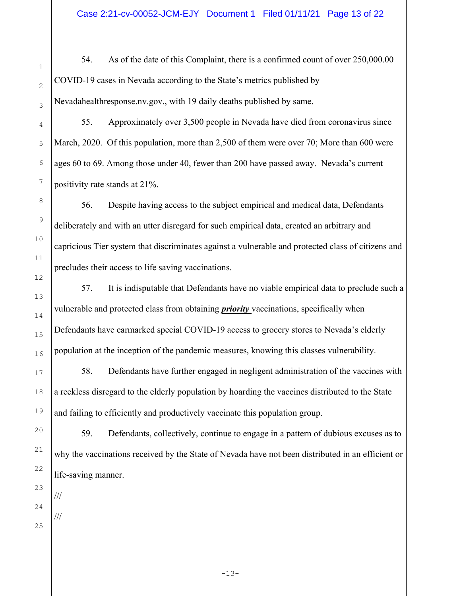54. As of the date of this Complaint, there is a confirmed count of over 250,000.00 COVID-19 cases in Nevada according to the State's metrics published by Nevadahealthresponse.nv.gov., with 19 daily deaths published by same.

55. Approximately over 3,500 people in Nevada have died from coronavirus since March, 2020. Of this population, more than 2,500 of them were over 70; More than 600 were ages 60 to 69. Among those under 40, fewer than 200 have passed away. Nevada's current positivity rate stands at 21%.

 56. Despite having access to the subject empirical and medical data, Defendants deliberately and with an utter disregard for such empirical data, created an arbitrary and capricious Tier system that discriminates against a vulnerable and protected class of citizens and precludes their access to life saving vaccinations.

 57. It is indisputable that Defendants have no viable empirical data to preclude such a vulnerable and protected class from obtaining *priority* vaccinations, specifically when Defendants have earmarked special COVID-19 access to grocery stores to Nevada's elderly population at the inception of the pandemic measures, knowing this classes vulnerability.

 58. Defendants have further engaged in negligent administration of the vaccines with a reckless disregard to the elderly population by hoarding the vaccines distributed to the State and failing to efficiently and productively vaccinate this population group.

 59. Defendants, collectively, continue to engage in a pattern of dubious excuses as to why the vaccinations received by the State of Nevada have not been distributed in an efficient or life-saving manner.

///

///

1

2

3

4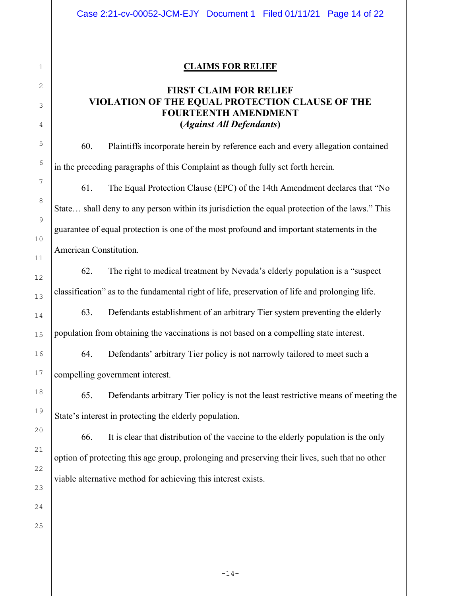## CLAIMS FOR RELIEF

## FIRST CLAIM FOR RELIEF VIOLATION OF THE EQUAL PROTECTION CLAUSE OF THE FOURTEENTH AMENDMENT (Against All Defendants)

 60. Plaintiffs incorporate herein by reference each and every allegation contained in the preceding paragraphs of this Complaint as though fully set forth herein.

 61. The Equal Protection Clause (EPC) of the 14th Amendment declares that "No State… shall deny to any person within its jurisdiction the equal protection of the laws." This guarantee of equal protection is one of the most profound and important statements in the American Constitution.

 62. The right to medical treatment by Nevada's elderly population is a "suspect classification" as to the fundamental right of life, preservation of life and prolonging life.

 63. Defendants establishment of an arbitrary Tier system preventing the elderly population from obtaining the vaccinations is not based on a compelling state interest.

 64. Defendants' arbitrary Tier policy is not narrowly tailored to meet such a compelling government interest.

 65. Defendants arbitrary Tier policy is not the least restrictive means of meeting the State's interest in protecting the elderly population.

 66. It is clear that distribution of the vaccine to the elderly population is the only option of protecting this age group, prolonging and preserving their lives, such that no other viable alternative method for achieving this interest exists.

1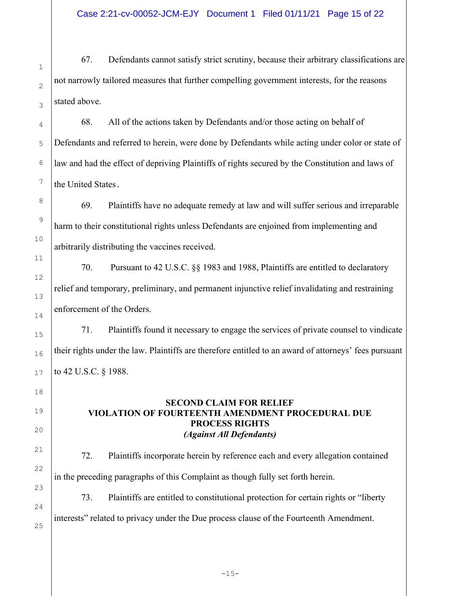67. Defendants cannot satisfy strict scrutiny, because their arbitrary classifications are not narrowly tailored measures that further compelling government interests, for the reasons stated above.

 68. All of the actions taken by Defendants and/or those acting on behalf of Defendants and referred to herein, were done by Defendants while acting under color or state of law and had the effect of depriving Plaintiffs of rights secured by the Constitution and laws of the United States.

 69. Plaintiffs have no adequate remedy at law and will suffer serious and irreparable harm to their constitutional rights unless Defendants are enjoined from implementing and arbitrarily distributing the vaccines received.

 70. Pursuant to 42 U.S.C. §§ 1983 and 1988, Plaintiffs are entitled to declaratory relief and temporary, preliminary, and permanent injunctive relief invalidating and restraining enforcement of the Orders.

 71. Plaintiffs found it necessary to engage the services of private counsel to vindicate their rights under the law. Plaintiffs are therefore entitled to an award of attorneys' fees pursuant to 42 U.S.C. § 1988.

## SECOND CLAIM FOR RELIEF VIOLATION OF FOURTEENTH AMENDMENT PROCEDURAL DUE PROCESS RIGHTS (Against All Defendants)

 72. Plaintiffs incorporate herein by reference each and every allegation contained in the preceding paragraphs of this Complaint as though fully set forth herein.

 73. Plaintiffs are entitled to constitutional protection for certain rights or "liberty interests" related to privacy under the Due process clause of the Fourteenth Amendment.

25

1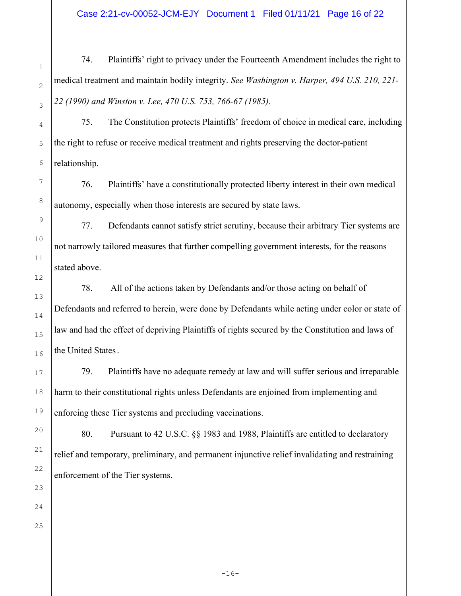Case 2:21-cv-00052-JCM-EJY Document 1 Filed 01/11/21 Page 16 of 22

 74. Plaintiffs' right to privacy under the Fourteenth Amendment includes the right to medical treatment and maintain bodily integrity. See Washington v. Harper, 494 U.S. 210, 221-22 (1990) and Winston v. Lee, 470 U.S. 753, 766-67 (1985).

 75. The Constitution protects Plaintiffs' freedom of choice in medical care, including the right to refuse or receive medical treatment and rights preserving the doctor-patient relationship.

 76. Plaintiffs' have a constitutionally protected liberty interest in their own medical autonomy, especially when those interests are secured by state laws.

 77. Defendants cannot satisfy strict scrutiny, because their arbitrary Tier systems are not narrowly tailored measures that further compelling government interests, for the reasons stated above.

 78. All of the actions taken by Defendants and/or those acting on behalf of Defendants and referred to herein, were done by Defendants while acting under color or state of law and had the effect of depriving Plaintiffs of rights secured by the Constitution and laws of the United States.

 79. Plaintiffs have no adequate remedy at law and will suffer serious and irreparable harm to their constitutional rights unless Defendants are enjoined from implementing and enforcing these Tier systems and precluding vaccinations.

 80. Pursuant to 42 U.S.C. §§ 1983 and 1988, Plaintiffs are entitled to declaratory relief and temporary, preliminary, and permanent injunctive relief invalidating and restraining enforcement of the Tier systems.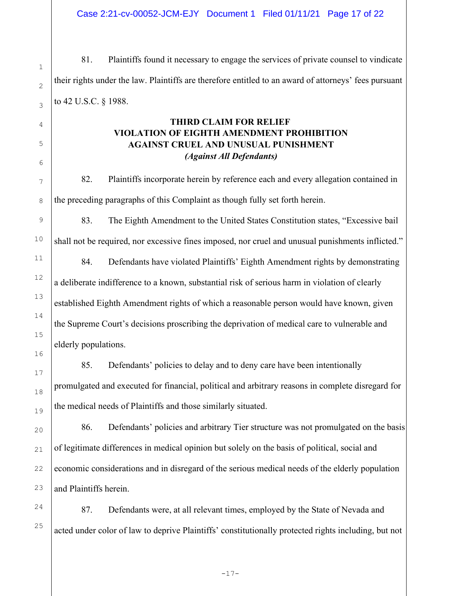81. Plaintiffs found it necessary to engage the services of private counsel to vindicate their rights under the law. Plaintiffs are therefore entitled to an award of attorneys' fees pursuant to 42 U.S.C. § 1988.

## THIRD CLAIM FOR RELIEF VIOLATION OF EIGHTH AMENDMENT PROHIBITION AGAINST CRUEL AND UNUSUAL PUNISHMENT (Against All Defendants)

82. Plaintiffs incorporate herein by reference each and every allegation contained in the preceding paragraphs of this Complaint as though fully set forth herein.

83. The Eighth Amendment to the United States Constitution states, "Excessive bail shall not be required, nor excessive fines imposed, nor cruel and unusual punishments inflicted." 84. Defendants have violated Plaintiffs' Eighth Amendment rights by demonstrating a deliberate indifference to a known, substantial risk of serious harm in violation of clearly established Eighth Amendment rights of which a reasonable person would have known, given the Supreme Court's decisions proscribing the deprivation of medical care to vulnerable and elderly populations.

85. Defendants' policies to delay and to deny care have been intentionally promulgated and executed for financial, political and arbitrary reasons in complete disregard for the medical needs of Plaintiffs and those similarly situated.

86. Defendants' policies and arbitrary Tier structure was not promulgated on the basis of legitimate differences in medical opinion but solely on the basis of political, social and economic considerations and in disregard of the serious medical needs of the elderly population and Plaintiffs herein.

87. Defendants were, at all relevant times, employed by the State of Nevada and acted under color of law to deprive Plaintiffs' constitutionally protected rights including, but not

1

2

3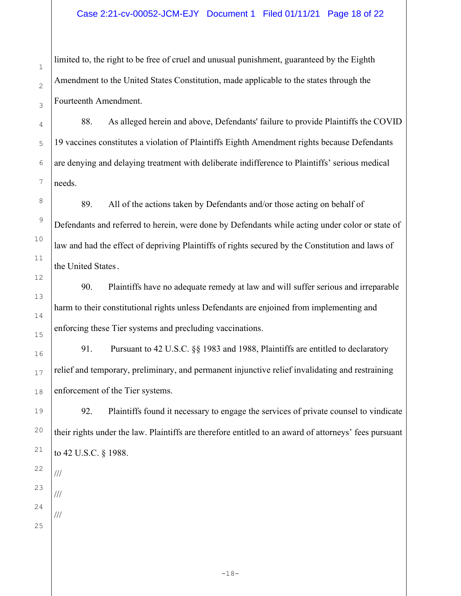limited to, the right to be free of cruel and unusual punishment, guaranteed by the Eighth Amendment to the United States Constitution, made applicable to the states through the Fourteenth Amendment.

88. As alleged herein and above, Defendants' failure to provide Plaintiffs the COVID 19 vaccines constitutes a violation of Plaintiffs Eighth Amendment rights because Defendants are denying and delaying treatment with deliberate indifference to Plaintiffs' serious medical needs.

89. All of the actions taken by Defendants and/or those acting on behalf of Defendants and referred to herein, were done by Defendants while acting under color or state of law and had the effect of depriving Plaintiffs of rights secured by the Constitution and laws of the United States.

90. Plaintiffs have no adequate remedy at law and will suffer serious and irreparable harm to their constitutional rights unless Defendants are enjoined from implementing and enforcing these Tier systems and precluding vaccinations.

91. Pursuant to 42 U.S.C. §§ 1983 and 1988, Plaintiffs are entitled to declaratory relief and temporary, preliminary, and permanent injunctive relief invalidating and restraining enforcement of the Tier systems.

92. Plaintiffs found it necessary to engage the services of private counsel to vindicate their rights under the law. Plaintiffs are therefore entitled to an award of attorneys' fees pursuant to 42 U.S.C. § 1988.

///

///

///

1

2

3

4

5

6

7

8

9

10

11

12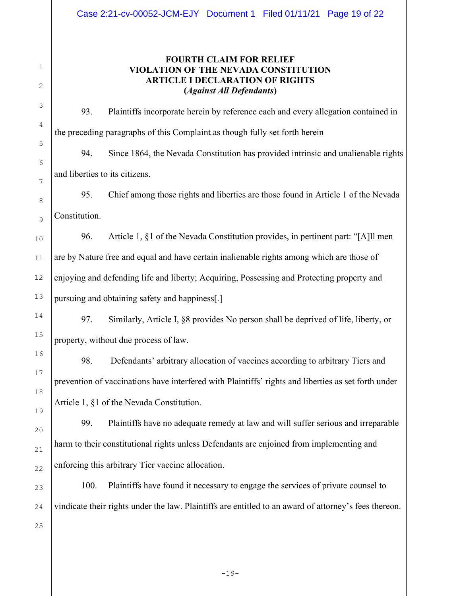1

## FOURTH CLAIM FOR RELIEF VIOLATION OF THE NEVADA CONSTITUTION ARTICLE I DECLARATION OF RIGHTS (Against All Defendants)

 93. Plaintiffs incorporate herein by reference each and every allegation contained in the preceding paragraphs of this Complaint as though fully set forth herein 94. Since 1864, the Nevada Constitution has provided intrinsic and unalienable rights

and liberties to its citizens.

 95. Chief among those rights and liberties are those found in Article 1 of the Nevada Constitution.

 96. Article 1, §1 of the Nevada Constitution provides, in pertinent part: "[A]ll men are by Nature free and equal and have certain inalienable rights among which are those of enjoying and defending life and liberty; Acquiring, Possessing and Protecting property and pursuing and obtaining safety and happiness[.]

 97. Similarly, Article I, §8 provides No person shall be deprived of life, liberty, or property, without due process of law.

 98. Defendants' arbitrary allocation of vaccines according to arbitrary Tiers and prevention of vaccinations have interfered with Plaintiffs' rights and liberties as set forth under Article 1, §1 of the Nevada Constitution.

 99. Plaintiffs have no adequate remedy at law and will suffer serious and irreparable harm to their constitutional rights unless Defendants are enjoined from implementing and enforcing this arbitrary Tier vaccine allocation.

 100. Plaintiffs have found it necessary to engage the services of private counsel to vindicate their rights under the law. Plaintiffs are entitled to an award of attorney's fees thereon.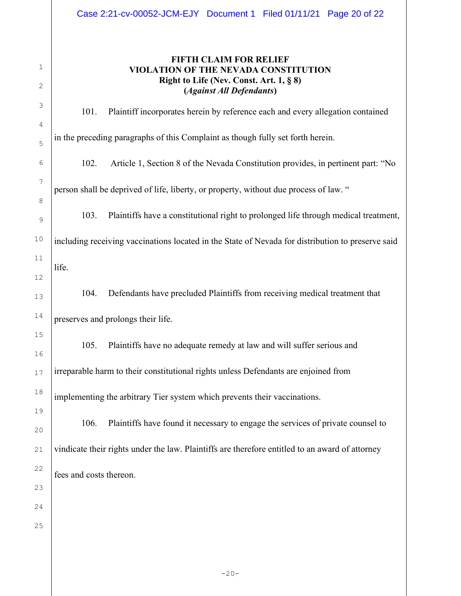| 1<br>2   |                                                                                       | <b>FIFTH CLAIM FOR RELIEF</b><br>VIOLATION OF THE NEVADA CONSTITUTION<br>Right to Life (Nev. Const. Art. $1, § 8$ )<br>(Against All Defendants) |  |  |  |
|----------|---------------------------------------------------------------------------------------|-------------------------------------------------------------------------------------------------------------------------------------------------|--|--|--|
| 3        | 101.                                                                                  | Plaintiff incorporates herein by reference each and every allegation contained                                                                  |  |  |  |
| 4<br>5   |                                                                                       | in the preceding paragraphs of this Complaint as though fully set forth herein.                                                                 |  |  |  |
| 6        | 102.                                                                                  | Article 1, Section 8 of the Nevada Constitution provides, in pertinent part: "No                                                                |  |  |  |
| 7        | person shall be deprived of life, liberty, or property, without due process of law. " |                                                                                                                                                 |  |  |  |
| 8<br>9   | 103.                                                                                  | Plaintiffs have a constitutional right to prolonged life through medical treatment,                                                             |  |  |  |
| 10       |                                                                                       | including receiving vaccinations located in the State of Nevada for distribution to preserve said                                               |  |  |  |
| 11<br>12 | life.                                                                                 |                                                                                                                                                 |  |  |  |
| 13       | 104.                                                                                  | Defendants have precluded Plaintiffs from receiving medical treatment that                                                                      |  |  |  |
| 14       |                                                                                       | preserves and prolongs their life.                                                                                                              |  |  |  |
| 15<br>16 | 105.                                                                                  | Plaintiffs have no adequate remedy at law and will suffer serious and                                                                           |  |  |  |
| 17       |                                                                                       | irreparable harm to their constitutional rights unless Defendants are enjoined from                                                             |  |  |  |
| 18       |                                                                                       | implementing the arbitrary Tier system which prevents their vaccinations.                                                                       |  |  |  |
| 19<br>20 | 106.                                                                                  | Plaintiffs have found it necessary to engage the services of private counsel to                                                                 |  |  |  |
| 21       |                                                                                       | vindicate their rights under the law. Plaintiffs are therefore entitled to an award of attorney                                                 |  |  |  |
| 22       | fees and costs thereon.                                                               |                                                                                                                                                 |  |  |  |
| 23       |                                                                                       |                                                                                                                                                 |  |  |  |
| 24<br>25 |                                                                                       |                                                                                                                                                 |  |  |  |
|          |                                                                                       |                                                                                                                                                 |  |  |  |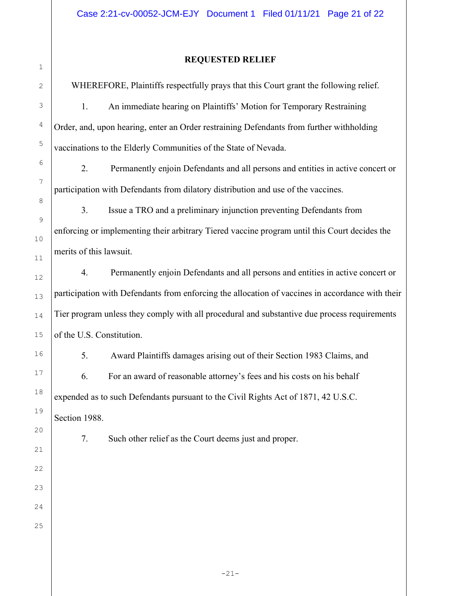# 2 3

4

5

6

7

8

9

10

11

12

13

14

15

16

17

18

19

20

21

22

23

24

25

1

## REQUESTED RELIEF

WHEREFORE, Plaintiffs respectfully prays that this Court grant the following relief.

1. An immediate hearing on Plaintiffs' Motion for Temporary Restraining Order, and, upon hearing, enter an Order restraining Defendants from further withholding vaccinations to the Elderly Communities of the State of Nevada.

 2. Permanently enjoin Defendants and all persons and entities in active concert or participation with Defendants from dilatory distribution and use of the vaccines.

 3. Issue a TRO and a preliminary injunction preventing Defendants from enforcing or implementing their arbitrary Tiered vaccine program until this Court decides the merits of this lawsuit.

 4. Permanently enjoin Defendants and all persons and entities in active concert or participation with Defendants from enforcing the allocation of vaccines in accordance with their Tier program unless they comply with all procedural and substantive due process requirements of the U.S. Constitution.

 5. Award Plaintiffs damages arising out of their Section 1983 Claims, and 6. For an award of reasonable attorney's fees and his costs on his behalf expended as to such Defendants pursuant to the Civil Rights Act of 1871, 42 U.S.C. Section 1988.

7. Such other relief as the Court deems just and proper.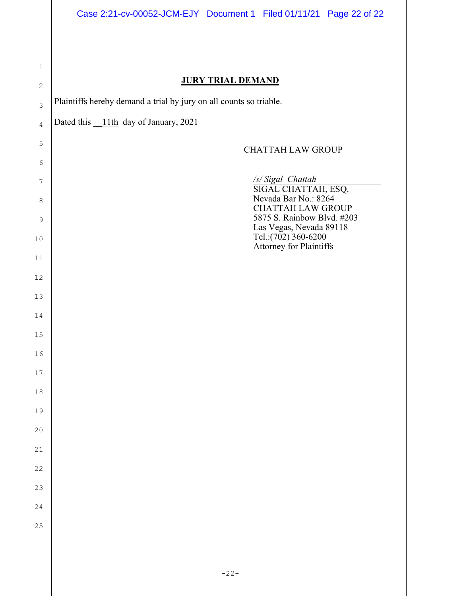| $\mathbf 1$    |                                                                              |
|----------------|------------------------------------------------------------------------------|
| $\mathbf{2}$   | <b>JURY TRIAL DEMAND</b>                                                     |
| $\mathfrak{Z}$ | Plaintiffs hereby demand a trial by jury on all counts so triable.           |
| $\overline{4}$ | Dated this 11th day of January, 2021                                         |
| $\mathsf S$    | <b>CHATTAH LAW GROUP</b>                                                     |
| 6              |                                                                              |
| 7              | /s/ Sigal Chattah<br>SIGAL CHATTAH, ESQ.                                     |
| $\,8\,$        | Nevada Bar No.: 8264<br><b>CHATTAH LAW GROUP</b>                             |
| 9<br>$10$      | 5875 S. Rainbow Blvd. #203<br>Las Vegas, Nevada 89118<br>Tel.:(702) 360-6200 |
| 11             | <b>Attorney for Plaintiffs</b>                                               |
| $12$           |                                                                              |
| 13             |                                                                              |
| 14             |                                                                              |
| $15\,$         |                                                                              |
| 16             |                                                                              |
| $17$           |                                                                              |
| 18             |                                                                              |
| 19             |                                                                              |
| 20             |                                                                              |
| 21             |                                                                              |
| 22             |                                                                              |
| 23             |                                                                              |
| 24             |                                                                              |
| 25             |                                                                              |
|                |                                                                              |